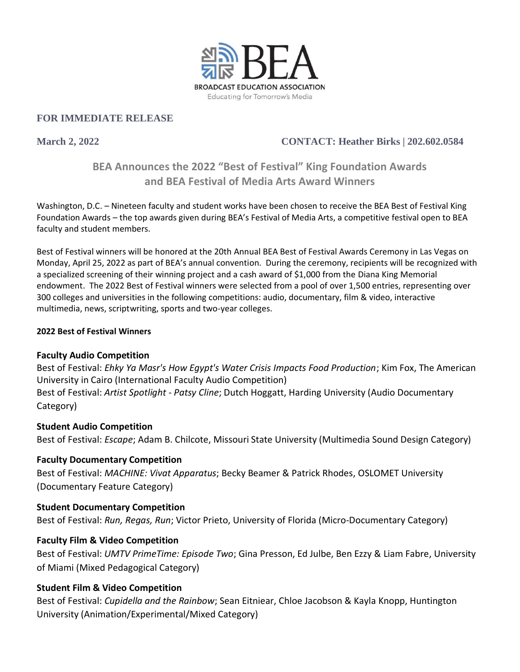

#### **FOR IMMEDIATE RELEASE**

## **March 2, 2022 CONTACT: Heather Birks | 202.602.0584**

# **BEA Announces the 2022 "Best of Festival" King Foundation Awards and BEA Festival of Media Arts Award Winners**

Washington, D.C. – Nineteen faculty and student works have been chosen to receive the BEA Best of Festival King Foundation Awards – the top awards given during BEA's Festival of Media Arts, a competitive festival open to BEA faculty and student members.

Best of Festival winners will be honored at the 20th Annual BEA Best of Festival Awards Ceremony in Las Vegas on Monday, April 25, 2022 as part of BEA's annual convention. During the ceremony, recipients will be recognized with a specialized screening of their winning project and a cash award of \$1,000 from the Diana King Memorial endowment. The 2022 Best of Festival winners were selected from a pool of over 1,500 entries, representing over 300 colleges and universities in the following competitions: audio, documentary, film & video, interactive multimedia, news, scriptwriting, sports and two-year colleges.

#### **2022 Best of Festival Winners**

#### **Faculty Audio Competition**

Best of Festival: *Ehky Ya Masr's How Egypt's Water Crisis Impacts Food Production*; Kim Fox, The American University in Cairo (International Faculty Audio Competition) Best of Festival: *Artist Spotlight - Patsy Cline*; Dutch Hoggatt, Harding University (Audio Documentary Category)

#### **Student Audio Competition**

Best of Festival: *Escape*; Adam B. Chilcote, Missouri State University (Multimedia Sound Design Category)

#### **Faculty Documentary Competition**

Best of Festival: *MACHINE: Vivat Apparatus*; Becky Beamer & Patrick Rhodes, OSLOMET University (Documentary Feature Category)

#### **Student Documentary Competition**

Best of Festival: *Run, Regas, Run*; Victor Prieto, University of Florida (Micro-Documentary Category)

#### **Faculty Film & Video Competition**

Best of Festival: *UMTV PrimeTime: Episode Two*; Gina Presson, Ed Julbe, Ben Ezzy & Liam Fabre, University of Miami (Mixed Pedagogical Category)

#### **Student Film & Video Competition**

Best of Festival: *Cupidella and the Rainbow*; Sean Eitniear, Chloe Jacobson & Kayla Knopp, Huntington University (Animation/Experimental/Mixed Category)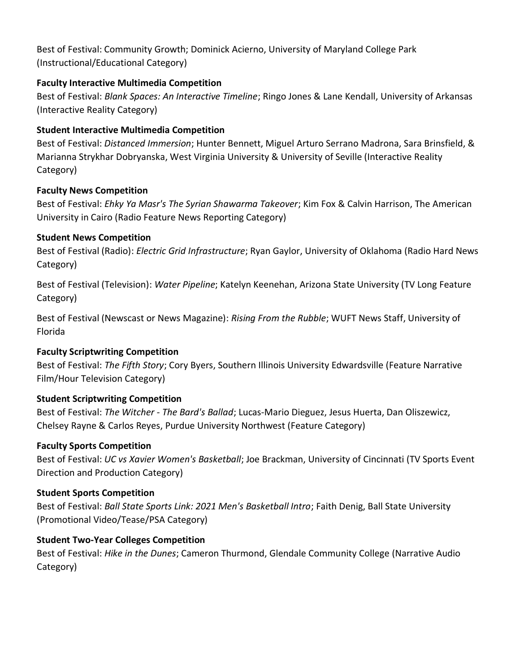Best of Festival: Community Growth; Dominick Acierno, University of Maryland College Park (Instructional/Educational Category)

#### **Faculty Interactive Multimedia Competition**

Best of Festival: *Blank Spaces: An Interactive Timeline*; Ringo Jones & Lane Kendall, University of Arkansas (Interactive Reality Category)

### **Student Interactive Multimedia Competition**

Best of Festival: *Distanced Immersion*; Hunter Bennett, Miguel Arturo Serrano Madrona, Sara Brinsfield, & Marianna Strykhar Dobryanska, West Virginia University & University of Seville (Interactive Reality Category)

### **Faculty News Competition**

Best of Festival: *Ehky Ya Masr's The Syrian Shawarma Takeover*; Kim Fox & Calvin Harrison, The American University in Cairo (Radio Feature News Reporting Category)

### **Student News Competition**

Best of Festival (Radio): *Electric Grid Infrastructure*; Ryan Gaylor, University of Oklahoma (Radio Hard News Category)

Best of Festival (Television): *Water Pipeline*; Katelyn Keenehan, Arizona State University (TV Long Feature Category)

Best of Festival (Newscast or News Magazine): *Rising From the Rubble*; WUFT News Staff, University of Florida

#### **Faculty Scriptwriting Competition**

Best of Festival: *The Fifth Story*; Cory Byers, Southern Illinois University Edwardsville (Feature Narrative Film/Hour Television Category)

## **Student Scriptwriting Competition**

Best of Festival: *The Witcher - The Bard's Ballad*; Lucas-Mario Dieguez, Jesus Huerta, Dan Oliszewicz, Chelsey Rayne & Carlos Reyes, Purdue University Northwest (Feature Category)

## **Faculty Sports Competition**

Best of Festival: *UC vs Xavier Women's Basketball*; Joe Brackman, University of Cincinnati (TV Sports Event Direction and Production Category)

#### **Student Sports Competition**

Best of Festival: *Ball State Sports Link: 2021 Men's Basketball Intro*; Faith Denig, Ball State University (Promotional Video/Tease/PSA Category)

## **Student Two-Year Colleges Competition**

Best of Festival: *Hike in the Dunes*; Cameron Thurmond, Glendale Community College (Narrative Audio Category)